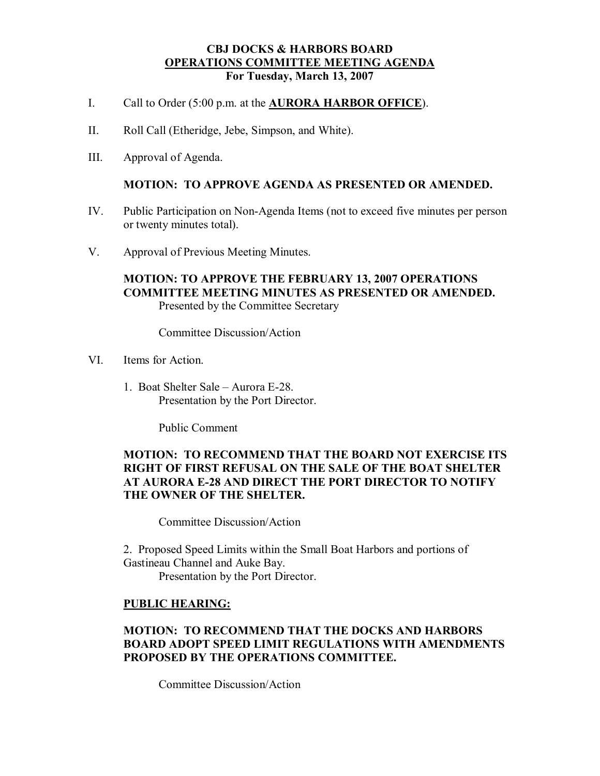### **CBJ DOCKS & HARBORS BOARD OPERATIONS COMMITTEE MEETING AGENDA For Tuesday, March 13, 2007**

- I. Call to Order (5:00 p.m. at the **AURORA HARBOR OFFICE**).
- II. Roll Call (Etheridge, Jebe, Simpson, and White).
- III. Approval of Agenda.

#### **MOTION: TO APPROVE AGENDA AS PRESENTED OR AMENDED.**

- IV. Public Participation on Non-Agenda Items (not to exceed five minutes per person or twenty minutes total).
- V. Approval of Previous Meeting Minutes.

### **MOTION: TO APPROVE THE FEBRUARY 13, 2007 OPERATIONS COMMITTEE MEETING MINUTES AS PRESENTED OR AMENDED.** Presented by the Committee Secretary

Committee Discussion/Action

- VI. Items for Action.
	- 1. Boat Shelter Sale Aurora E-28. Presentation by the Port Director.

Public Comment

## **MOTION: TO RECOMMEND THAT THE BOARD NOT EXERCISE ITS RIGHT OF FIRST REFUSAL ON THE SALE OF THE BOAT SHELTER AT AURORA E28 AND DIRECT THE PORT DIRECTOR TO NOTIFY THE OWNER OF THE SHELTER.**

Committee Discussion/Action

2. Proposed Speed Limits within the Small Boat Harbors and portions of Gastineau Channel and Auke Bay.

Presentation by the Port Director.

# **PUBLIC HEARING:**

# **MOTION: TO RECOMMEND THAT THE DOCKS AND HARBORS BOARD ADOPT SPEED LIMIT REGULATIONS WITH AMENDMENTS PROPOSED BY THE OPERATIONS COMMITTEE.**

Committee Discussion/Action